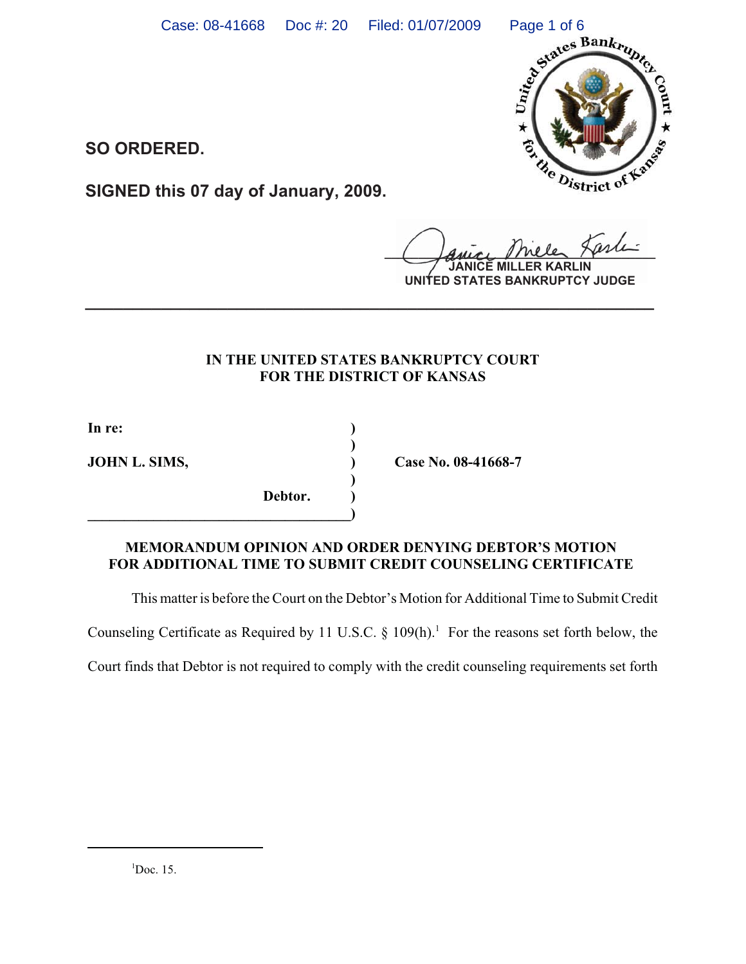

**SO ORDERED.**

**SIGNED this 07 day of January, 2009.**

*Amer Mele Herri* 

**RLIN UNITED STATES BANKRUPTCY JUDGE**

# **IN THE UNITED STATES BANKRUPTCY COURT FOR THE DISTRICT OF KANSAS**

**)**

**)**

**In re: )**

**Debtor. )**

**\_\_\_\_\_\_\_\_\_\_\_\_\_\_\_\_\_\_\_\_\_\_\_\_\_\_\_\_\_\_\_\_\_\_\_\_)**

**JOHN L. SIMS, Case No. 08-41668-7** 

## **MEMORANDUM OPINION AND ORDER DENYING DEBTOR'S MOTION FOR ADDITIONAL TIME TO SUBMIT CREDIT COUNSELING CERTIFICATE**

This matter is before the Court on the Debtor's Motion for Additional Time to Submit Credit

Counseling Certificate as Required by 11 U.S.C.  $\S$  109(h).<sup>1</sup> For the reasons set forth below, the

Court finds that Debtor is not required to comply with the credit counseling requirements set forth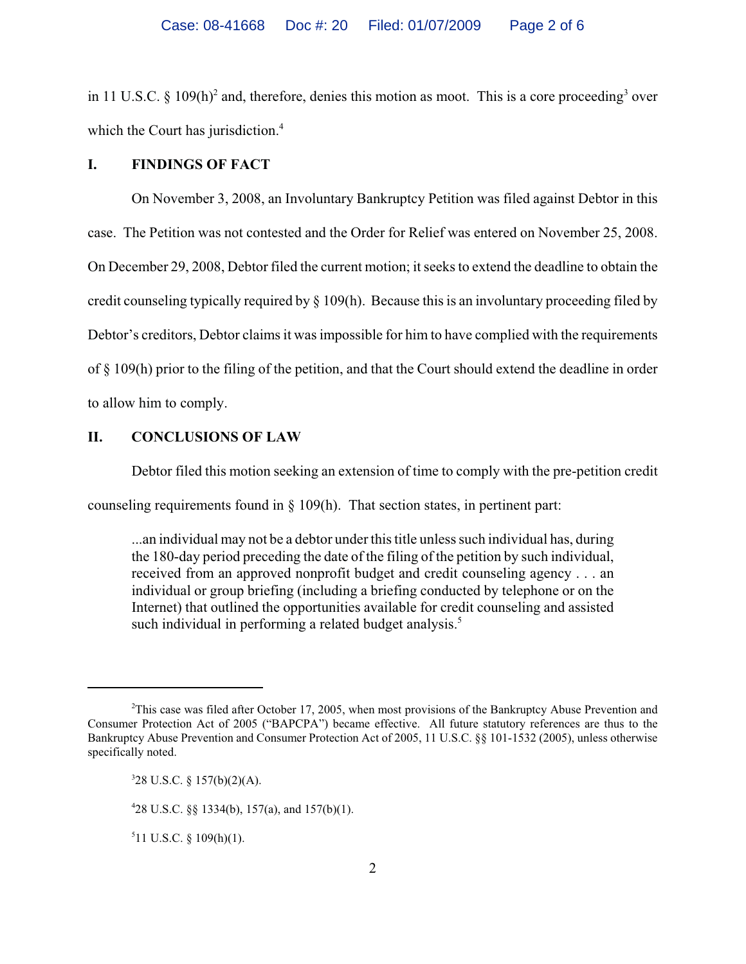in 11 U.S.C. § 109(h)<sup>2</sup> and, therefore, denies this motion as moot. This is a core proceeding<sup>3</sup> over which the Court has jurisdiction.<sup>4</sup>

#### **I. FINDINGS OF FACT**

On November 3, 2008, an Involuntary Bankruptcy Petition was filed against Debtor in this case. The Petition was not contested and the Order for Relief was entered on November 25, 2008. On December 29, 2008, Debtor filed the current motion; it seeks to extend the deadline to obtain the credit counseling typically required by § 109(h). Because this is an involuntary proceeding filed by Debtor's creditors, Debtor claims it was impossible for him to have complied with the requirements of § 109(h) prior to the filing of the petition, and that the Court should extend the deadline in order to allow him to comply.

### **II. CONCLUSIONS OF LAW**

Debtor filed this motion seeking an extension of time to comply with the pre-petition credit

counseling requirements found in § 109(h). That section states, in pertinent part:

...an individual may not be a debtor under this title unless such individual has, during the 180-day period preceding the date of the filing of the petition by such individual, received from an approved nonprofit budget and credit counseling agency . . . an individual or group briefing (including a briefing conducted by telephone or on the Internet) that outlined the opportunities available for credit counseling and assisted such individual in performing a related budget analysis.<sup>5</sup>

 $511$  U.S.C. § 109(h)(1).

<sup>&</sup>lt;sup>2</sup>This case was filed after October 17, 2005, when most provisions of the Bankruptcy Abuse Prevention and Consumer Protection Act of 2005 ("BAPCPA") became effective. All future statutory references are thus to the Bankruptcy Abuse Prevention and Consumer Protection Act of 2005, 11 U.S.C. §§ 101-1532 (2005), unless otherwise specifically noted.

 $328$  U.S.C. § 157(b)(2)(A).

<sup>4</sup> 28 U.S.C. §§ 1334(b), 157(a), and 157(b)(1).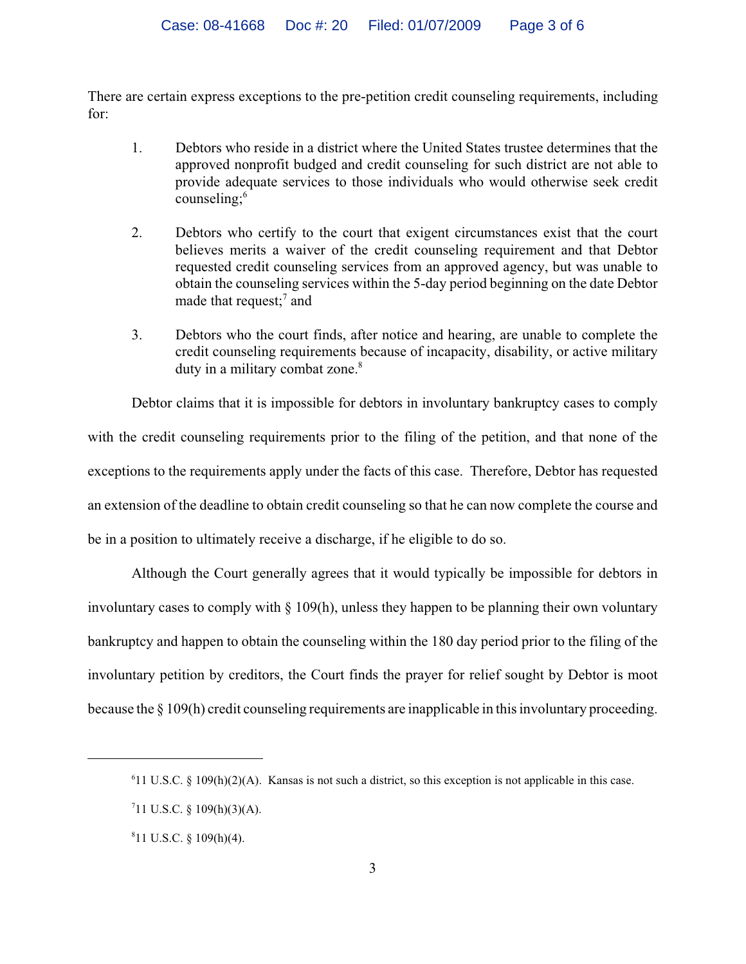There are certain express exceptions to the pre-petition credit counseling requirements, including for:

- 1. Debtors who reside in a district where the United States trustee determines that the approved nonprofit budged and credit counseling for such district are not able to provide adequate services to those individuals who would otherwise seek credit counseling;<sup>6</sup>
- 2. Debtors who certify to the court that exigent circumstances exist that the court believes merits a waiver of the credit counseling requirement and that Debtor requested credit counseling services from an approved agency, but was unable to obtain the counseling services within the 5-day period beginning on the date Debtor made that request;<sup>7</sup> and
- 3. Debtors who the court finds, after notice and hearing, are unable to complete the credit counseling requirements because of incapacity, disability, or active military duty in a military combat zone.<sup>8</sup>

Debtor claims that it is impossible for debtors in involuntary bankruptcy cases to comply with the credit counseling requirements prior to the filing of the petition, and that none of the exceptions to the requirements apply under the facts of this case. Therefore, Debtor has requested an extension of the deadline to obtain credit counseling so that he can now complete the course and be in a position to ultimately receive a discharge, if he eligible to do so.

Although the Court generally agrees that it would typically be impossible for debtors in involuntary cases to comply with § 109(h), unless they happen to be planning their own voluntary bankruptcy and happen to obtain the counseling within the 180 day period prior to the filing of the involuntary petition by creditors, the Court finds the prayer for relief sought by Debtor is moot because the § 109(h) credit counseling requirements are inapplicable in this involuntary proceeding.

<sup>&</sup>lt;sup>6</sup>11 U.S.C. § 109(h)(2)(A). Kansas is not such a district, so this exception is not applicable in this case.

 $711$  U.S.C. § 109(h)(3)(A).

 $811$  U.S.C. § 109(h)(4).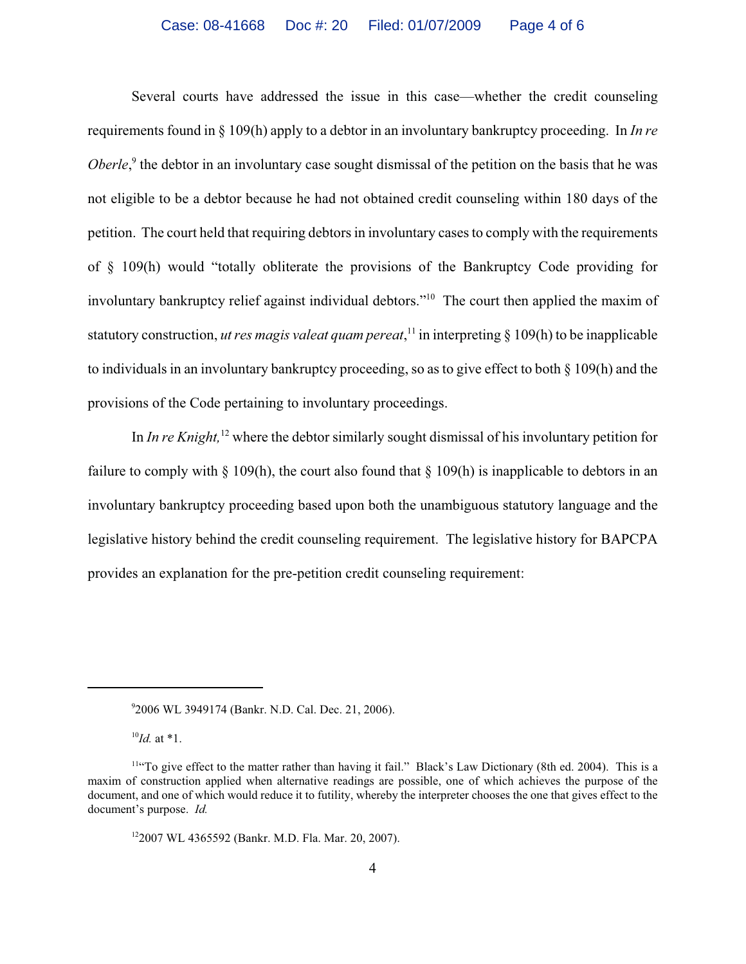Several courts have addressed the issue in this case—whether the credit counseling requirements found in § 109(h) apply to a debtor in an involuntary bankruptcy proceeding. In *In re Oberle*,<sup>9</sup> the debtor in an involuntary case sought dismissal of the petition on the basis that he was not eligible to be a debtor because he had not obtained credit counseling within 180 days of the petition. The court held that requiring debtors in involuntary cases to comply with the requirements of § 109(h) would "totally obliterate the provisions of the Bankruptcy Code providing for involuntary bankruptcy relief against individual debtors."10 The court then applied the maxim of statutory construction, *ut res magis valeat quam pereat*, 11 in interpreting § 109(h) to be inapplicable to individuals in an involuntary bankruptcy proceeding, so as to give effect to both § 109(h) and the provisions of the Code pertaining to involuntary proceedings.

In *In re Knight,*12 where the debtor similarly sought dismissal of his involuntary petition for failure to comply with  $\S 109(h)$ , the court also found that  $\S 109(h)$  is inapplicable to debtors in an involuntary bankruptcy proceeding based upon both the unambiguous statutory language and the legislative history behind the credit counseling requirement. The legislative history for BAPCPA provides an explanation for the pre-petition credit counseling requirement:

<sup>9</sup> 2006 WL 3949174 (Bankr. N.D. Cal. Dec. 21, 2006).

<sup>10</sup>*Id.* at \*1.

<sup>&</sup>lt;sup>11"</sup>To give effect to the matter rather than having it fail." Black's Law Dictionary (8th ed. 2004). This is a maxim of construction applied when alternative readings are possible, one of which achieves the purpose of the document, and one of which would reduce it to futility, whereby the interpreter chooses the one that gives effect to the document's purpose. *Id.*

<sup>122007</sup> WL 4365592 (Bankr. M.D. Fla. Mar. 20, 2007).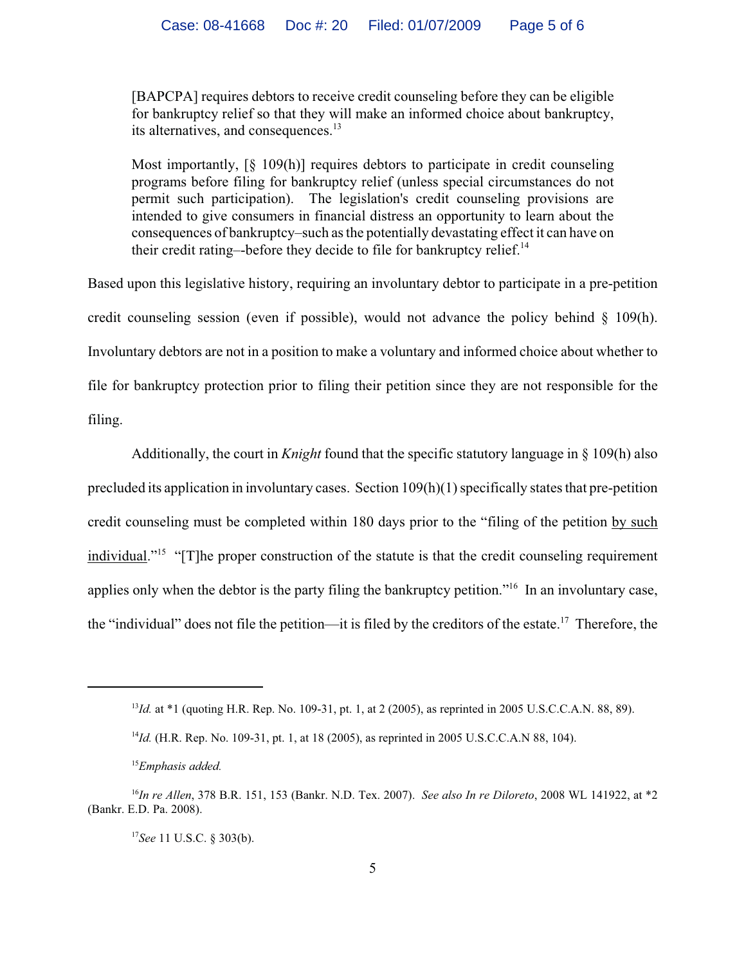[BAPCPA] requires debtors to receive credit counseling before they can be eligible for bankruptcy relief so that they will make an informed choice about bankruptcy, its alternatives, and consequences.<sup>13</sup>

Most importantly, [§ 109(h)] requires debtors to participate in credit counseling programs before filing for bankruptcy relief (unless special circumstances do not permit such participation). The legislation's credit counseling provisions are intended to give consumers in financial distress an opportunity to learn about the consequences of bankruptcy–such as the potentially devastating effect it can have on their credit rating--before they decide to file for bankruptcy relief.<sup>14</sup>

Based upon this legislative history, requiring an involuntary debtor to participate in a pre-petition credit counseling session (even if possible), would not advance the policy behind  $\S$  109(h). Involuntary debtors are not in a position to make a voluntary and informed choice about whether to file for bankruptcy protection prior to filing their petition since they are not responsible for the filing.

Additionally, the court in *Knight* found that the specific statutory language in § 109(h) also precluded its application in involuntary cases. Section 109(h)(1) specifically states that pre-petition credit counseling must be completed within 180 days prior to the "filing of the petition by such individual."15 "[T]he proper construction of the statute is that the credit counseling requirement applies only when the debtor is the party filing the bankruptcy petition."16 In an involuntary case, the "individual" does not file the petition—it is filed by the creditors of the estate.<sup>17</sup> Therefore, the

<sup>&</sup>lt;sup>13</sup>*Id.* at \*1 (quoting H.R. Rep. No. 109-31, pt. 1, at 2 (2005), as reprinted in 2005 U.S.C.C.A.N. 88, 89).

<sup>14</sup>*Id.* (H.R. Rep. No. 109-31, pt. 1, at 18 (2005), as reprinted in 2005 U.S.C.C.A.N 88, 104).

<sup>15</sup>*Emphasis added.*

<sup>16</sup>*In re Allen*, 378 B.R. 151, 153 (Bankr. N.D. Tex. 2007). *See also In re Diloreto*, 2008 WL 141922, at \*2 (Bankr. E.D. Pa. 2008).

<sup>17</sup>*See* 11 U.S.C. § 303(b).